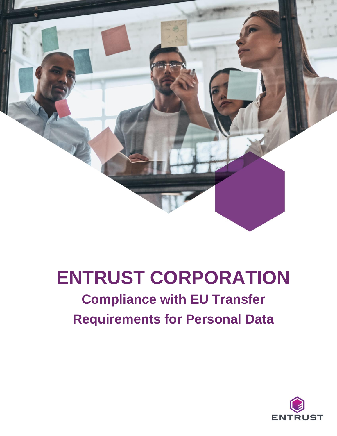

# **ENTRUST CORPORATION**

# **Compliance with EU Transfer Requirements for Personal Data**

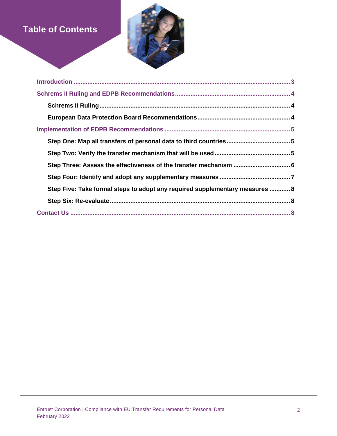# **Table of Contents**



| Step Five: Take formal steps to adopt any required supplementary measures  8 |
|------------------------------------------------------------------------------|
|                                                                              |
|                                                                              |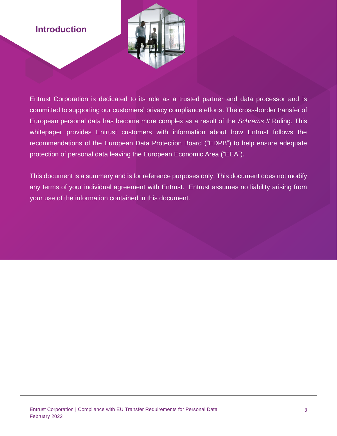# **Introduction**



Entrust Corporation is dedicated to its role as a trusted partner and data processor and is committed to supporting our customers' privacy compliance efforts. The cross-border transfer of European personal data has become more complex as a result of the *Schrems II* Ruling. This whitepaper provides Entrust customers with information about how Entrust follows the recommendations of the European Data Protection Board ("EDPB") to help ensure adequate protection of personal data leaving the European Economic Area ("EEA").

This document is a summary and is for reference purposes only. This document does not modify any terms of your individual agreement with Entrust. Entrust assumes no liability arising from your use of the information contained in this document.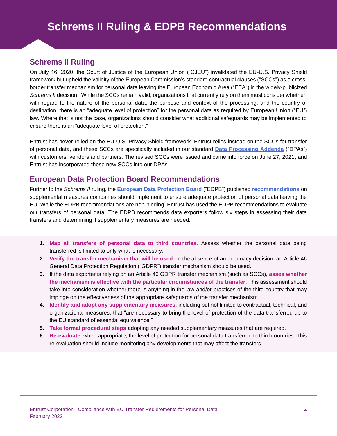# **Schrems II Ruling**

On July 16, 2020, the Court of Justice of the European Union ("CJEU") invalidated the EU-U.S. Privacy Shield framework but upheld the validity of the European Commission's standard contractual clauses ("SCCs") as a crossborder transfer mechanism for personal data leaving the European Economic Area ("EEA") in the widely-publicized *Schrems II* decision. While the SCCs remain valid, organizations that currently rely on them must consider whether, with regard to the nature of the personal data, the purpose and context of the processing, and the country of destination, there is an "adequate level of protection" for the personal data as required by European Union ("EU") law. Where that is not the case, organizations should consider what additional safeguards may be implemented to ensure there is an "adequate level of protection."

Entrust has never relied on the EU-U.S. Privacy Shield framework. Entrust relies instead on the SCCs for transfer of personal data, and these SCCs are specifically included in our standard **[Data Processing Addenda](https://www.entrust.com/legal-compliance/data-privacy)** ("DPAs") with customers, vendors and partners. The revised SCCs were issued and came into force on June 27, 2021, and Entrust has incorporated these new SCCs into our DPAs.

## **European Data Protection Board Recommendations**

Further to the *Schrems II* ruling, the **[European Data Protection Board](https://edpb.europa.eu/edpb_en)** ("EDPB") published **[recommendations](https://edpb.europa.eu/our-work-tools/our-documents/recommendations/recommendations-012020-measures-supplement-transfer_en)** on supplemental measures companies should implement to ensure adequate protection of personal data leaving the EU. While the EDPB recommendations are non-binding, Entrust has used the EDPB recommendations to evaluate our transfers of personal data. The EDPB recommends data exporters follow six steps in assessing their data transfers and determining if supplementary measures are needed:

- **1. Map all transfers of personal data to third countries.** Assess whether the personal data being transferred is limited to only what is necessary.
- **2. Verify the transfer mechanism that will be used.** In the absence of an adequacy decision, an Article 46 General Data Protection Regulation ("GDPR") transfer mechanism should be used.
- **3.** If the data exporter is relying on an Article 46 GDPR transfer mechanism (such as SCCs), **asses whether the mechanism is effective with the particular circumstances of the transfer**. This assessment should take into consideration whether there is anything in the law and/or practices of the third country that may impinge on the effectiveness of the appropriate safeguards of the transfer mechanism.
- **4. Identify and adopt any supplementary measures**, including but not limited to contractual, technical, and organizational measures, that "are necessary to bring the level of protection of the data transferred up to the EU standard of essential equivalence."
- **5. Take formal procedural steps** adopting any needed supplementary measures that are required.
- **6. Re-evaluate**, when appropriate, the level of protection for personal data transferred to third countries. This re-evaluation should include monitoring any developments that may affect the transfers.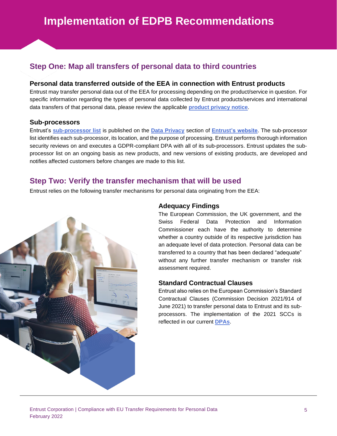# **Step One: Map all transfers of personal data to third countries**

#### **Personal data transferred outside of the EEA in connection with Entrust products**

Entrust may transfer personal data out of the EEA for processing depending on the product/service in question. For specific information regarding the types of personal data collected by Entrust products/services and international data transfers of that personal data, please review the applicable **[product privacy notice](https://www.entrust.com/legal-compliance/product-privacy)**.

#### **Sub-processors**

Entrust's **[sub-processor list](https://www.entrust.com/legal-compliance/data-privacy/sub-processors)** is published on the **[Data Privacy](https://www.entrust.com/legal-compliance/data-privacy)** section of **[Entrust's website](https://www.entrust.com/)**. The sub-processor list identifies each sub-processor, its location, and the purpose of processing. Entrust performs thorough information security reviews on and executes a GDPR-compliant DPA with all of its sub-processors. Entrust updates the subprocessor list on an ongoing basis as new products, and new versions of existing products, are developed and notifies affected customers before changes are made to this list.

### **Step Two: Verify the transfer mechanism that will be used**

Entrust relies on the following transfer mechanisms for personal data originating from the EEA:



#### **Adequacy Findings**

The European Commission, the UK government, and the Swiss Federal Data Protection and Information Commissioner each have the authority to determine whether a country outside of its respective jurisdiction has an adequate level of data protection. Personal data can be transferred to a country that has been declared "adequate" without any further transfer mechanism or transfer risk assessment required.

#### **Standard Contractual Clauses**

Entrust also relies on the European Commission's Standard Contractual Clauses (Commission Decision 2021/914 of June 2021) to transfer personal data to Entrust and its subprocessors. The implementation of the 2021 SCCs is reflected in our current **[DPAs](https://www.entrust.com/legal-compliance/data-privacy)**.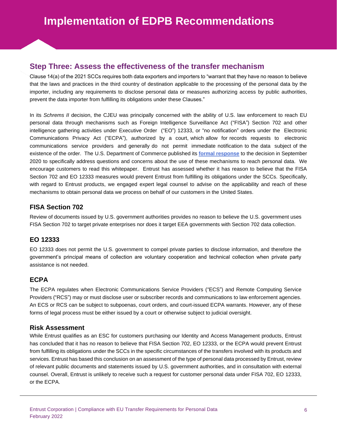## **Step Three: Assess the effectiveness of the transfer mechanism**

Clause 14(a) of the 2021 SCCs requires both data exporters and importers to "warrant that they have no reason to believe that the laws and practices in the third country of destination applicable to the processing of the personal data by the importer, including any requirements to disclose personal data or measures authorizing access by public authorities, prevent the data importer from fulfilling its obligations under these Clauses."

In its *Schrems II* decision, the CJEU was principally concerned with the ability of U.S. law enforcement to reach EU personal data through mechanisms such as Foreign Intelligence Surveillance Act ("FISA") Section 702 and other intelligence gathering activities under Executive Order ("EO") 12333, or "no notification" orders under the Electronic Communications Privacy Act ("ECPA"), authorized by a court, which allow for records requests to electronic communications service providers and generally do not permit immediate notification to the data subject of the existence of the order. The U.S. Department of Commerce published its **[formal response](https://www.commerce.gov/sites/default/files/2020-09/SCCsWhitePaperFORMATTEDFINAL508COMPLIANT.PDF)** to the decision in September 2020 to specifically address questions and concerns about the use of these mechanisms to reach personal data. We encourage customers to read this whitepaper. Entrust has assessed whether it has reason to believe that the FISA Section 702 and EO 12333 measures would prevent Entrust from fulfilling its obligations under the SCCs. Specifically, with regard to Entrust products, we engaged expert legal counsel to advise on the applicability and reach of these mechanisms to obtain personal data we process on behalf of our customers in the United States.

#### **FISA Section 702**

Review of documents issued by U.S. government authorities provides no reason to believe the U.S. government uses FISA Section 702 to target private enterprises nor does it target EEA governments with Section 702 data collection.

#### **EO 12333**

EO 12333 does not permit the U.S. government to compel private parties to disclose information, and therefore the government's principal means of collection are voluntary cooperation and technical collection when private party assistance is not needed.

#### **ECPA**

The ECPA regulates when Electronic Communications Service Providers ("ECS") and Remote Computing Service Providers ("RCS") may or must disclose user or subscriber records and communications to law enforcement agencies. An ECS or RCS can be subject to subpoenas, court orders, and court-issued ECPA warrants. However, any of these forms of legal process must be either issued by a court or otherwise subject to judicial oversight.

#### **Risk Assessment**

While Entrust qualifies as an ESC for customers purchasing our Identity and Access Management products, Entrust has concluded that it has no reason to believe that FISA Section 702, EO 12333, or the ECPA would prevent Entrust from fulfilling its obligations under the SCCs in the specific circumstances of the transfers involved with its products and services. Entrust has based this conclusion on an assessment of the type of personal data processed by Entrust, review of relevant public documents and statements issued by U.S. government authorities, and in consultation with external counsel. Overall, Entrust is unlikely to receive such a request for customer personal data under FISA 702, EO 12333, or the ECPA.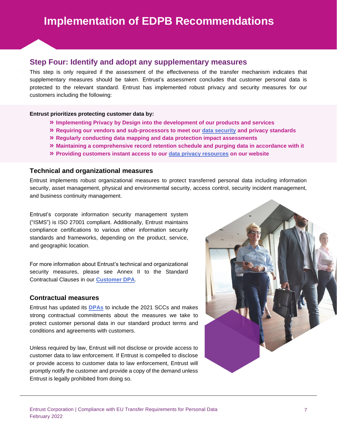### **Step Four: Identify and adopt any supplementary measures**

This step is only required if the assessment of the effectiveness of the transfer mechanism indicates that supplementary measures should be taken. Entrust's assessment concludes that customer personal data is protected to the relevant standard. Entrust has implemented robust privacy and security measures for our customers including the following:

#### **Entrust prioritizes protecting customer data by:**

- **» Implementing Privacy by Design into the development of our products and services**
- **» Requiring our vendors and sub-processors to meet our [data security](https://www.entrust.com/legal-compliance/security) and privacy standards**
- **» Regularly conducting data mapping and data protection impact assessments**
- **» Maintaining a comprehensive record retention schedule and purging data in accordance with it**
- **» Providing customers instant access to our [data privacy resources](https://www.entrust.com/legal-compliance/data-privacy) on our website**

#### **Technical and organizational measures**

Entrust implements robust organizational measures to protect transferred personal data including information security, asset management, physical and environmental security, access control, security incident management, and business continuity management.

Entrust's corporate information security management system ("ISMS") is ISO 27001 compliant. Additionally, Entrust maintains compliance certifications to various other information security standards and frameworks, depending on the product, service, and geographic location.

For more information about Entrust's technical and organizational security measures, please see Annex II to the Standard Contractual Clauses in our **[Customer DPA](https://www.entrust.com/legal-compliance/data-privacy)**.

#### **Contractual measures**

Entrust has updated its **[DPAs](https://www.entrust.com/legal-compliance/data-privacy)** to include the 2021 SCCs and makes strong contractual commitments about the measures we take to protect customer personal data in our standard product terms and conditions and agreements with customers.

Unless required by law, Entrust will not disclose or provide access to customer data to law enforcement. If Entrust is compelled to disclose or provide access to customer data to law enforcement, Entrust will promptly notify the customer and provide a copy of the demand unless Entrust is legally prohibited from doing so.